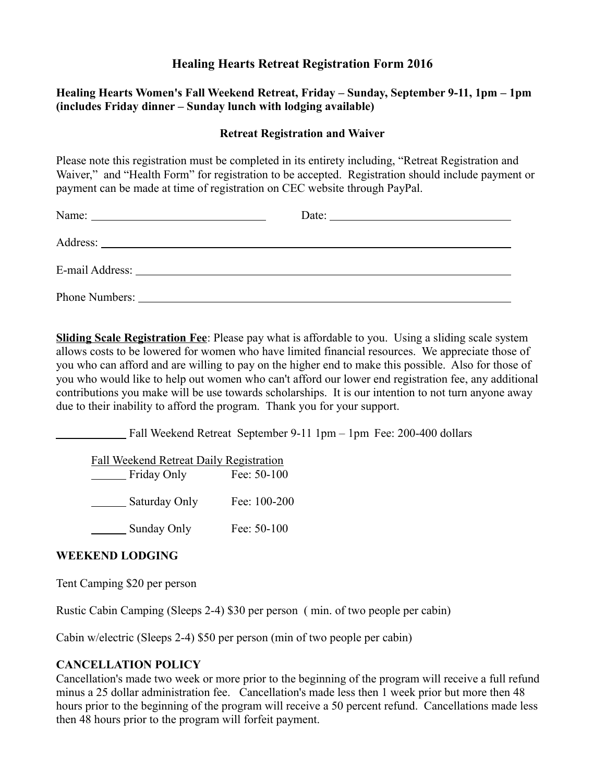# **Healing Hearts Retreat Registration Form 2016**

## **Healing Hearts Women's Fall Weekend Retreat, Friday – Sunday, September 9-11, 1pm – 1pm (includes Friday dinner – Sunday lunch with lodging available)**

## **Retreat Registration and Waiver**

Please note this registration must be completed in its entirety including, "Retreat Registration and Waiver," and "Health Form" for registration to be accepted. Registration should include payment or payment can be made at time of registration on CEC website through PayPal.

| Date: $\frac{1}{\sqrt{1-\frac{1}{2}} \cdot \frac{1}{2}}$ |
|----------------------------------------------------------|
|                                                          |
|                                                          |
|                                                          |

**Sliding Scale Registration Fee**: Please pay what is affordable to you. Using a sliding scale system allows costs to be lowered for women who have limited financial resources. We appreciate those of you who can afford and are willing to pay on the higher end to make this possible. Also for those of you who would like to help out women who can't afford our lower end registration fee, any additional contributions you make will be use towards scholarships. It is our intention to not turn anyone away due to their inability to afford the program. Thank you for your support.

Fall Weekend Retreat September 9-11 1pm – 1pm Fee: 200-400 dollars

Fall Weekend Retreat Daily Registration Friday Only Fee: 50-100 Saturday Only Fee: 100-200 Sunday Only Fee: 50-100

## **WEEKEND LODGING**

Tent Camping \$20 per person

Rustic Cabin Camping (Sleeps 2-4) \$30 per person ( min. of two people per cabin)

Cabin w/electric (Sleeps 2-4) \$50 per person (min of two people per cabin)

#### **CANCELLATION POLICY**

Cancellation's made two week or more prior to the beginning of the program will receive a full refund minus a 25 dollar administration fee. Cancellation's made less then 1 week prior but more then 48 hours prior to the beginning of the program will receive a 50 percent refund. Cancellations made less then 48 hours prior to the program will forfeit payment.